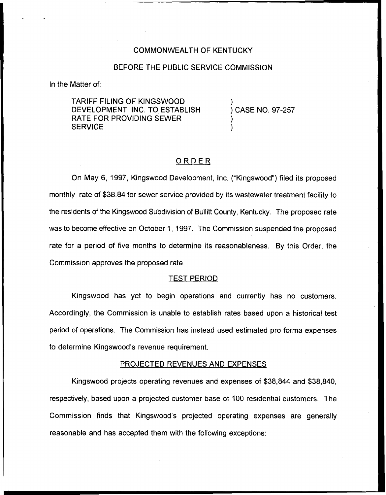## COMMONWEALTH OF KENTUCKY

#### BEFORE THE PUBLIC SERVICE COMMISSION

In the Matter of:

TARIFF FILING OF KINGSWOOD DEVELOPMENT, INC. TO ESTABLISH RATE FOR PROVIDING SEWER **SERVICE** 

) ) CASE NO. 97-257 )

)

### ORDER

On May 6, 1997, Kingswood Development, Inc. ("Kingswood") filed its proposed monthly rate of \$38.84 for sewer service provided by its wastewater treatment facility to the residents of the Kingswood Subdivision of Bullitt County, Kentucky. The proposed rate was to become effective on October 1, 1997. The Commission suspended the proposed rate for a period of five months to determine its reasonableness. By this Order, the Commission approves the proposed rate.

## TEST PERIOD

Kingswood has yet to begin operations and currently has no customers. Accordingly, the Commission is unable to establish rates based upon a historical test period of operations. The Commission has instead used estimated pro forma expenses to determine Kingswood's revenue requirement.

#### PROJECTED REVENUES AND EXPENSES

Kingswood projects operating revenues and expenses of \$38,844 and \$38,840, respectively, based upon a projected customer base of 100 residential customers. The Commission finds that Kingswood's projected operating expenses are generally reasonable and has accepted them with the following exceptions: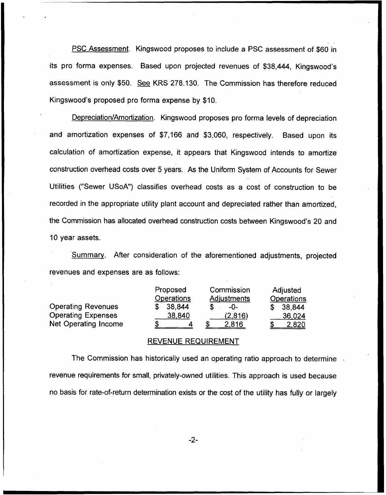PSC Assessment. Kingswood proposes to include a PSC assessment of \$60 in its pro forma expenses. Based upon projected revenues of \$38,444, Kingswood's assessment is only \$50. See KRS 278.130. The Commission has therefore reduced Kingswood's proposed pro forma expense by \$10.

Depreciation/Amortization. Kingswood proposes pro forma levels of depreciation and amortization expenses of \$7,166 and \$3,060, respectively. Based upon its calculation of amortization expense, it appears that Kingswood intends to amortize construction overhead costs over 5 years. As the Uniform System of Accounts for Sewer Utilities ("Sewer USoA") classifies overhead costs as a cost of construction to be recorded in the appropriate utility plant account and depreciated rather than amortized, the Commission has allocated overhead construction costs between Kingswood's 20 and 10 year assets.

Summary. After consideration of the aforementioned adjustments, projected revenues and expenses are as follows:

|                           | Proposed          | Commission         | Adjusted          |
|---------------------------|-------------------|--------------------|-------------------|
|                           | <b>Operations</b> | <b>Adjustments</b> | <b>Operations</b> |
| <b>Operating Revenues</b> | 38,844            | $-0-$              | 38,844            |
| <b>Operating Expenses</b> | 38.840            | (2,816)            | 36,024            |
| Net Operating Income      |                   | 2,816              | 2,820             |

#### REVENUE REQUIREMENT

The Commission has historically used an operating ratio approach to determine revenue requirements for small, privately-owned utilities. This approach is used because no basis for rate-of-return determination exists or the cost of the utility has fully or largely

 $-2-$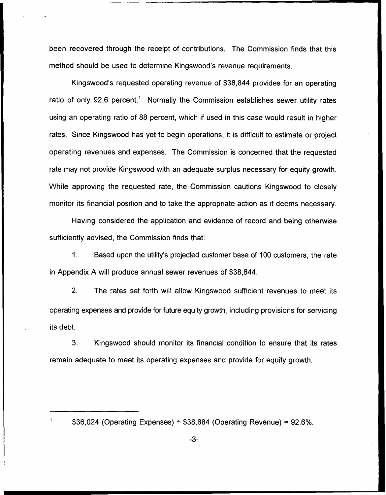been recovered through the receipt of contributions. The Commission finds that this method should be used to determine Kingswood's revenue requirements.

Kingswood's requested operating revenue of \$38,844 provides for an operating ratio of only 92.6 percent.<sup>1</sup> Normally the Commission establishes sewer utility rates using an operating ratio of 88 percent, which if used in this case would result in higher rates. Since Kingswood has yet to begin operations, it is difficult to estimate or project operating revenues and expenses. The Commission is concerned that the requested rate may not provide Kingswood with an adequate surplus necessary for equity growth. While approving the requested rate, the Commission cautions Kingswood to closely monitor its financial position and to take the appropriate action as it deems necessary.

Having considered the application and evidence of record and being otherwise sufficiently advised, the Commission finds that:

 $1<sub>1</sub>$ Based upon the utility's projected customer base of 100 customers, the rate in Appendix A will produce annual sewer revenues of \$38,844.

2. The rates set forth will allow Kingswood sufficient revenues to meet its operating expenses and provide for future equity growth, including provisions for servicing its debt.

3. Kingswood should monitor its financial condition to ensure that its rates remain adequate to meet its operating expenses and provide for equity growth.

 $$36,024$  (Operating Expenses)  $\div$  \$38,884 (Operating Revenue) = 92.6%.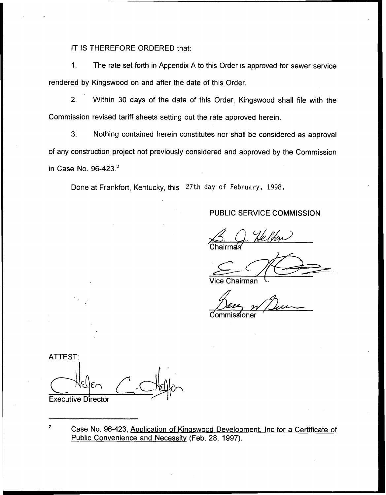IT IS THEREFORE ORDERED that:

 $1.$ The rate set forth in Appendix A to this Order is approved for sewer service rendered by Kingswood on and after the date of this Order.

Within 30 days of the date of this Order, Kingswood shall file with the  $2<sub>1</sub>$ Commission revised tariff sheets setting out the rate approved herein.

 $3<sub>1</sub>$ Nothing contained herein constitutes nor shall be considered as approval of any construction project not previously considered and approved by the Commission in Case No. 96-423.<sup>2</sup>

Done at Frankfort, Kentucky, this 27th day of February, 1998.

## **PUBLIC SERVICE COMMISSION**

Vice Chairman

*issione* 

ATTEST: **Executive Director** 

 $\overline{a}$ Case No. 96-423, Application of Kingswood Development, Inc for a Certificate of Public Convenience and Necessity (Feb. 28, 1997).